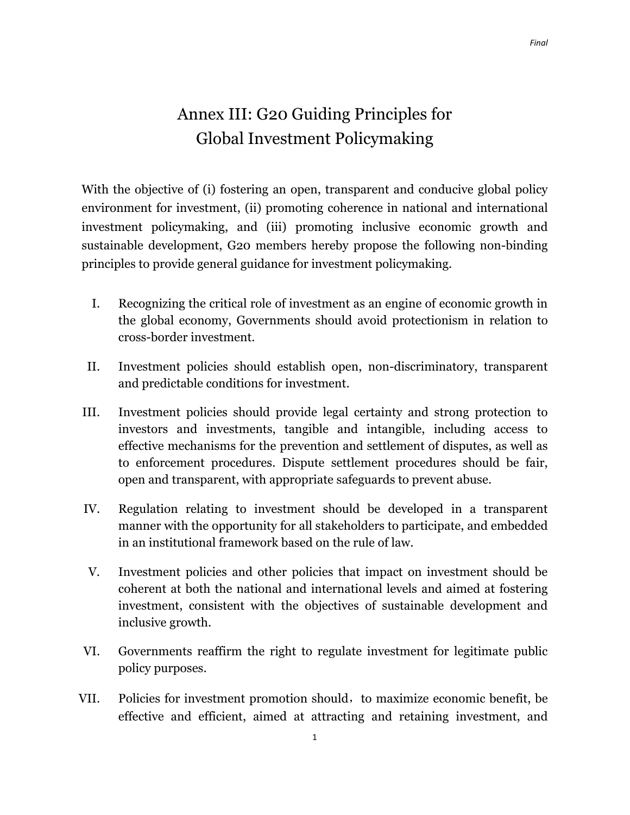## Annex III: G20 Guiding Principles for Global Investment Policymaking

With the objective of (i) fostering an open, transparent and conducive global policy environment for investment, (ii) promoting coherence in national and international investment policymaking, and (iii) promoting inclusive economic growth and sustainable development, G20 members hereby propose the following non-binding principles to provide general guidance for investment policymaking.

- I. Recognizing the critical role of investment as an engine of economic growth in the global economy, Governments should avoid protectionism in relation to cross-border investment.
- II. Investment policies should establish open, non-discriminatory, transparent and predictable conditions for investment.
- III. Investment policies should provide legal certainty and strong protection to investors and investments, tangible and intangible, including access to effective mechanisms for the prevention and settlement of disputes, as well as to enforcement procedures. Dispute settlement procedures should be fair, open and transparent, with appropriate safeguards to prevent abuse.
- IV. Regulation relating to investment should be developed in a transparent manner with the opportunity for all stakeholders to participate, and embedded in an institutional framework based on the rule of law.
- V. Investment policies and other policies that impact on investment should be coherent at both the national and international levels and aimed at fostering investment, consistent with the objectives of sustainable development and inclusive growth.
- VI. Governments reaffirm the right to regulate investment for legitimate public policy purposes.
- VII. Policies for investment promotion should, to maximize economic benefit, be effective and efficient, aimed at attracting and retaining investment, and